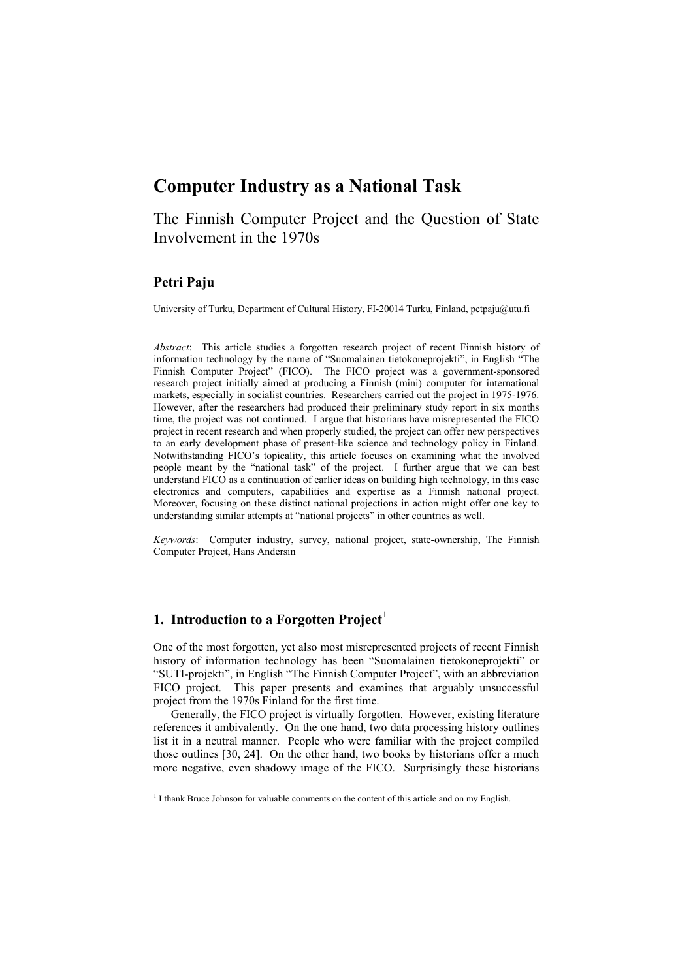# **Computer Industry as a National Task**

The Finnish Computer Project and the Question of State Involvement in the 1970s

## **Petri Paju**

University of Turku, Department of Cultural History, FI-20014 Turku, Finland, petpaju@utu.fi

*Abstract*: This article studies a forgotten research project of recent Finnish history of information technology by the name of "Suomalainen tietokoneprojekti", in English "The Finnish Computer Project" (FICO). The FICO project was a government-sponsored research project initially aimed at producing a Finnish (mini) computer for international markets, especially in socialist countries. Researchers carried out the project in 1975-1976. However, after the researchers had produced their preliminary study report in six months time, the project was not continued. I argue that historians have misrepresented the FICO project in recent research and when properly studied, the project can offer new perspectives to an early development phase of present-like science and technology policy in Finland. Notwithstanding FICO's topicality, this article focuses on examining what the involved people meant by the "national task" of the project. I further argue that we can best understand FICO as a continuation of earlier ideas on building high technology, in this case electronics and computers, capabilities and expertise as a Finnish national project. Moreover, focusing on these distinct national projections in action might offer one key to understanding similar attempts at "national projects" in other countries as well.

*Keywords*: Computer industry, survey, national project, state-ownership, The Finnish Computer Project, Hans Andersin

# **[1](#page-0-0). Introduction to a Forgotten Project**

One of the most forgotten, yet also most misrepresented projects of recent Finnish history of information technology has been "Suomalainen tietokoneprojekti" or "SUTI-projekti", in English "The Finnish Computer Project", with an abbreviation FICO project. This paper presents and examines that arguably unsuccessful project from the 1970s Finland for the first time.

Generally, the FICO project is virtually forgotten. However, existing literature references it ambivalently. On the one hand, two data processing history outlines list it in a neutral manner. People who were familiar with the project compiled those outlines [30, 24]. On the other hand, two books by historians offer a much more negative, even shadowy image of the FICO. Surprisingly these historians

<span id="page-0-2"></span><span id="page-0-1"></span><span id="page-0-0"></span><sup>&</sup>lt;sup>1</sup> I thank Bruce Johnson for valuable comments on the content of this article and on my English.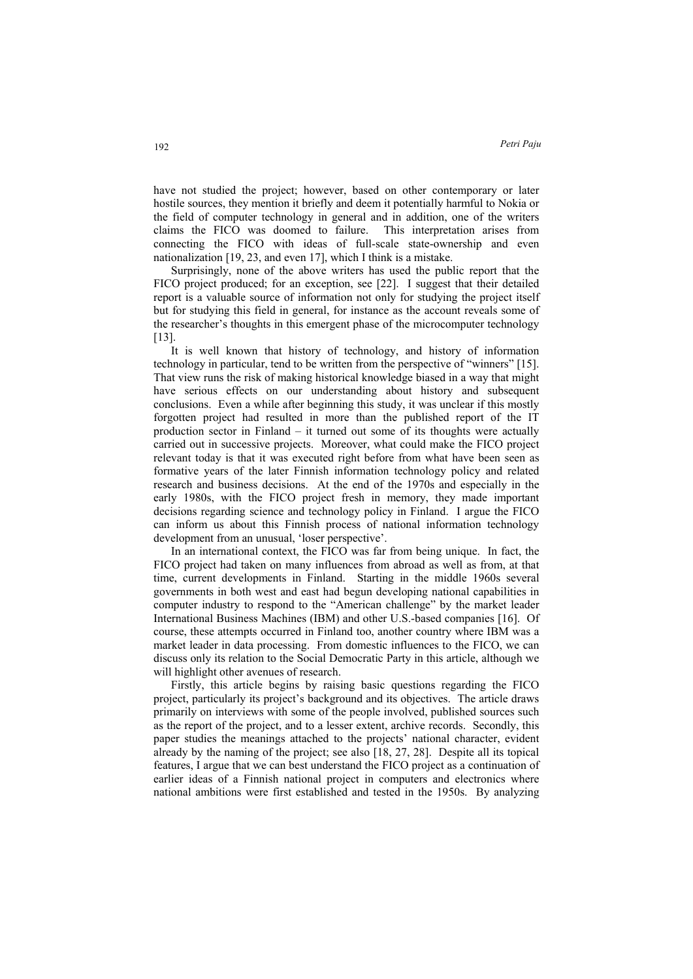have not studied the project; however, based on other contemporary or later hostile sources, they mention it briefly and deem it potentially harmful to Nokia or the field of computer technology in general and in addition, one of the writers claims the FICO was doomed to failure. This interpretation arises from connecting the FICO with ideas of full-scale state-ownership and even nationalization [19, 23, and even 17], which I think is a mistake.

Surprisingly, none of the above writers has used the public report that the FICO project produced; for an exception, see [22]. I suggest that their detailed report is a valuable source of information not only for studying the project itself but for studying this field in general, for instance as the account reveals some of the researcher's thoughts in this emergent phase of the microcomputer technology [13].

It is well known that history of technology, and history of information technology in particular, tend to be written from the perspective of "winners" [15]. That view runs the risk of making historical knowledge biased in a way that might have serious effects on our understanding about history and subsequent conclusions. Even a while after beginning this study, it was unclear if this mostly forgotten project had resulted in more than the published report of the IT production sector in Finland – it turned out some of its thoughts were actually carried out in successive projects. Moreover, what could make the FICO project relevant today is that it was executed right before from what have been seen as formative years of the later Finnish information technology policy and related research and business decisions. At the end of the 1970s and especially in the early 1980s, with the FICO project fresh in memory, they made important decisions regarding science and technology policy in Finland. I argue the FICO can inform us about this Finnish process of national information technology development from an unusual, 'loser perspective'.

In an international context, the FICO was far from being unique. In fact, the FICO project had taken on many influences from abroad as well as from, at that time, current developments in Finland. Starting in the middle 1960s several governments in both west and east had begun developing national capabilities in computer industry to respond to the "American challenge" by the market leader International Business Machines (IBM) and other U.S.-based companies [16]. Of course, these attempts occurred in Finland too, another country where IBM was a market leader in data processing. From domestic influences to the FICO, we can discuss only its relation to the Social Democratic Party in this article, although we will highlight other avenues of research.

Firstly, this article begins by raising basic questions regarding the FICO project, particularly its project's background and its objectives. The article draws primarily on interviews with some of the people involved, published sources such as the report of the project, and to a lesser extent, archive records. Secondly, this paper studies the meanings attached to the projects' national character, evident already by the naming of the project; see also [18, 27, 28]. Despite all its topical features, I argue that we can best understand the FICO project as a continuation of earlier ideas of a Finnish national project in computers and electronics where national ambitions were first established and tested in the 1950s. By analyzing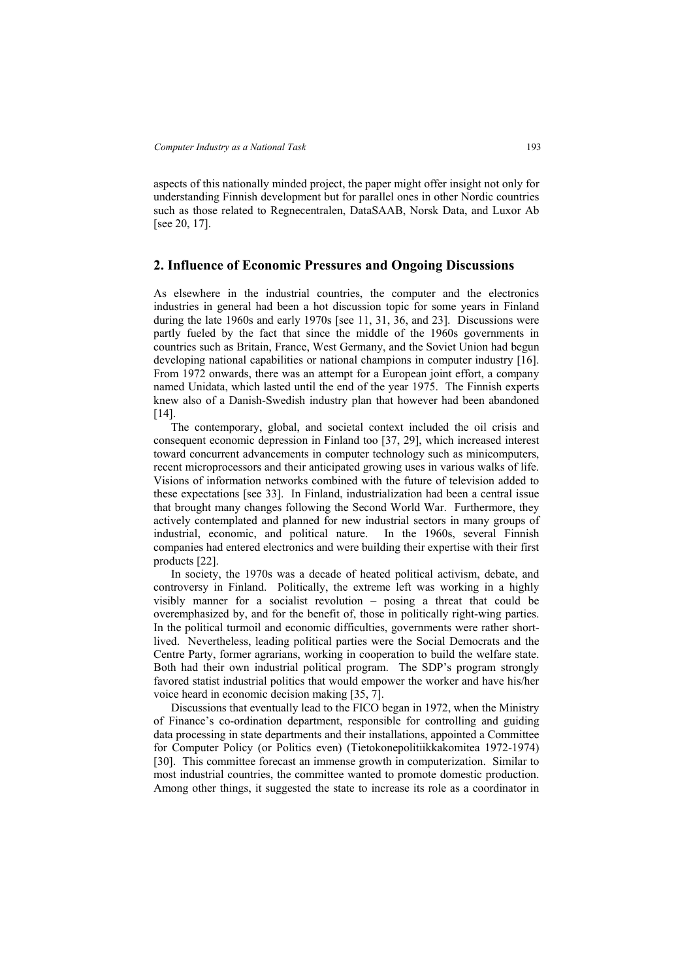aspects of this nationally minded project, the paper might offer insight not only for understanding Finnish development but for parallel ones in other Nordic countries such as those related to Regnecentralen, DataSAAB, Norsk Data, and Luxor Ab [see 20, 17].

#### **2. Influence of Economic Pressures and Ongoing Discussions**

As elsewhere in the industrial countries, the computer and the electronics industries in general had been a hot discussion topic for some years in Finland during the late 1960s and early 1970s [see 11, 31, 36, and 23]. Discussions were partly fueled by the fact that since the middle of the 1960s governments in countries such as Britain, France, West Germany, and the Soviet Union had begun developing national capabilities or national champions in computer industry [16]. From 1972 onwards, there was an attempt for a European joint effort, a company named Unidata, which lasted until the end of the year 1975. The Finnish experts knew also of a Danish-Swedish industry plan that however had been abandoned [14].

The contemporary, global, and societal context included the oil crisis and consequent economic depression in Finland too [37, 29], which increased interest toward concurrent advancements in computer technology such as minicomputers, recent microprocessors and their anticipated growing uses in various walks of life. Visions of information networks combined with the future of television added to these expectations [see 33]. In Finland, industrialization had been a central issue that brought many changes following the Second World War. Furthermore, they actively contemplated and planned for new industrial sectors in many groups of industrial, economic, and political nature. In the 1960s, several Finnish companies had entered electronics and were building their expertise with their first products [22].

In society, the 1970s was a decade of heated political activism, debate, and controversy in Finland. Politically, the extreme left was working in a highly visibly manner for a socialist revolution – posing a threat that could be overemphasized by, and for the benefit of, those in politically right-wing parties. In the political turmoil and economic difficulties, governments were rather shortlived. Nevertheless, leading political parties were the Social Democrats and the Centre Party, former agrarians, working in cooperation to build the welfare state. Both had their own industrial political program. The SDP's program strongly favored statist industrial politics that would empower the worker and have his/her voice heard in economic decision making [35, 7].

Discussions that eventually lead to the FICO began in 1972, when the Ministry of Finance's co-ordination department, responsible for controlling and guiding data processing in state departments and their installations, appointed a Committee for Computer Policy (or Politics even) (Tietokonepolitiikkakomitea 1972-1974) [30]. This committee forecast an immense growth in computerization. Similar to most industrial countries, the committee wanted to promote domestic production. Among other things, it suggested the state to increase its role as a coordinator in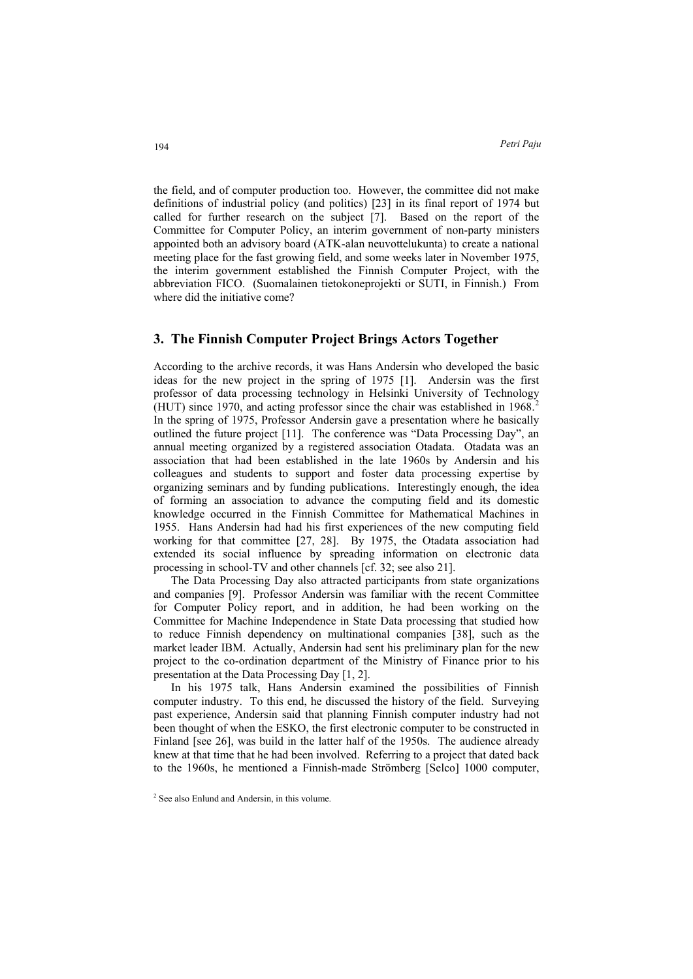the field, and of computer production too. However, the committee did not make definitions of industrial policy (and politics) [23] in its final report of 1974 but called for further research on the subject [7]. Based on the report of the Committee for Computer Policy, an interim government of non-party ministers appointed both an advisory board (ATK-alan neuvottelukunta) to create a national meeting place for the fast growing field, and some weeks later in November 1975, the interim government established the Finnish Computer Project, with the abbreviation FICO. (Suomalainen tietokoneprojekti or SUTI, in Finnish.) From where did the initiative come?

### **3. The Finnish Computer Project Brings Actors Together**

According to the archive records, it was Hans Andersin who developed the basic ideas for the new project in the spring of 1975 [1]. Andersin was the first professor of data processing technology in Helsinki University of Technology (HUT) since 1970, and acting professor since the chair was established in 1968.[2](#page-0-0)  $\ddot{\phantom{0}}$ In the spring of 1975, Professor Andersin gave a presentation where he basically outlined the future project [11]. The conference was "Data Processing Day", an annual meeting organized by a registered association Otadata. Otadata was an association that had been established in the late 1960s by Andersin and his colleagues and students to support and foster data processing expertise by organizing seminars and by funding publications. Interestingly enough, the idea of forming an association to advance the computing field and its domestic knowledge occurred in the Finnish Committee for Mathematical Machines in 1955. Hans Andersin had had his first experiences of the new computing field working for that committee [27, 28]. By 1975, the Otadata association had extended its social influence by spreading information on electronic data processing in school-TV and other channels [cf. 32; see also 21].

The Data Processing Day also attracted participants from state organizations and companies [9]. Professor Andersin was familiar with the recent Committee for Computer Policy report, and in addition, he had been working on the Committee for Machine Independence in State Data processing that studied how to reduce Finnish dependency on multinational companies [38], such as the market leader IBM. Actually, Andersin had sent his preliminary plan for the new project to the co-ordination department of the Ministry of Finance prior to his presentation at the Data Processing Day [1, 2].

In his 1975 talk, Hans Andersin examined the possibilities of Finnish computer industry. To this end, he discussed the history of the field. Surveying past experience, Andersin said that planning Finnish computer industry had not been thought of when the ESKO, the first electronic computer to be constructed in Finland [see 26], was build in the latter half of the 1950s. The audience already knew at that time that he had been involved. Referring to a project that dated back to the 1960s, he mentioned a Finnish-made Strömberg [Selco] 1000 computer,

<sup>2</sup> See also Enlund and Andersin, in this volume.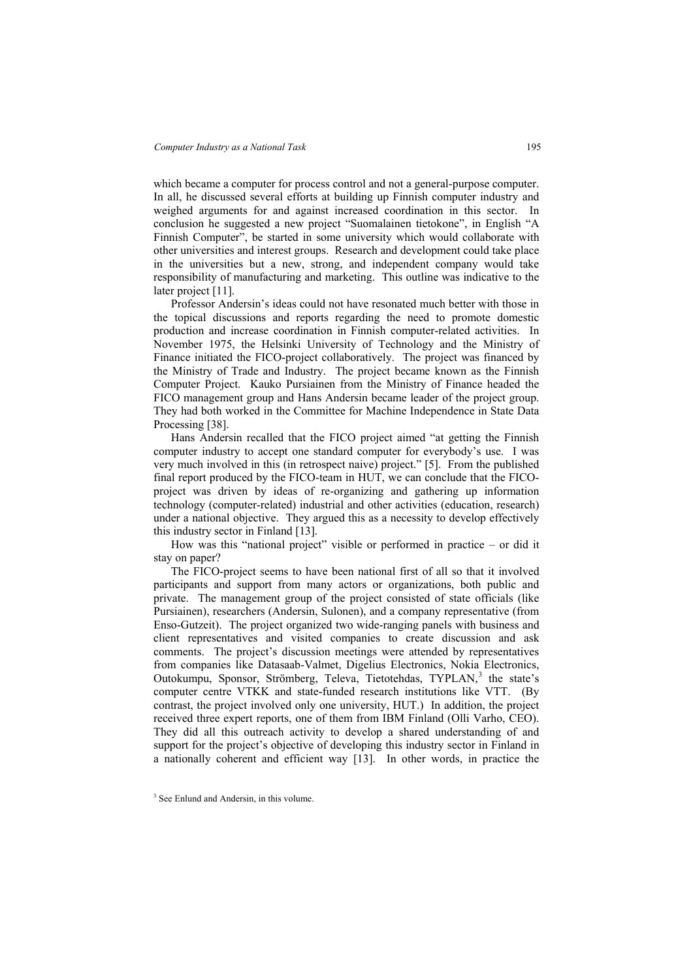which became a computer for process control and not a general-purpose computer. In all, he discussed several efforts at building up Finnish computer industry and weighed arguments for and against increased coordination in this sector. In conclusion he suggested a new project "Suomalainen tietokone", in English "A Finnish Computer", be started in some university which would collaborate with other universities and interest groups. Research and development could take place in the universities but a new, strong, and independent company would take responsibility of manufacturing and marketing. This outline was indicative to the later project [11].

Professor Andersin's ideas could not have resonated much better with those in the topical discussions and reports regarding the need to promote domestic production and increase coordination in Finnish computer-related activities. In November 1975, the Helsinki University of Technology and the Ministry of Finance initiated the FICO-project collaboratively. The project was financed by the Ministry of Trade and Industry. The project became known as the Finnish Computer Project. Kauko Pursiainen from the Ministry of Finance headed the FICO management group and Hans Andersin became leader of the project group. They had both worked in the Committee for Machine Independence in State Data Processing [38].

Hans Andersin recalled that the FICO project aimed "at getting the Finnish computer industry to accept one standard computer for everybody's use. I was very much involved in this (in retrospect naive) project." [5]. From the published final report produced by the FICO-team in HUT, we can conclude that the FICOproject was driven by ideas of re-organizing and gathering up information technology (computer-related) industrial and other activities (education, research) under a national objective. They argued this as a necessity to develop effectively this industry sector in Finland [13].

How was this "national project" visible or performed in practice  $-$  or did it stay on paper?

The FICO-project seems to have been national first of all so that it involved participants and support from many actors or organizations, both public and private. The management group of the project consisted of state officials (like Pursiainen), researchers (Andersin, Sulonen), and a company representative (from Enso-Gutzeit). The project organized two wide-ranging panels with business and client representatives and visited companies to create discussion and ask comments. The project's discussion meetings were attended by representatives from companies like Datasaab-Valmet, Digelius Electronics, Nokia Electronics, Outokumpu, Sponsor, Strömberg, Televa, Tietotehdas, TYPLAN,<sup>[3](#page-0-1)</sup> the state's computer centre VTKK and state-funded research institutions like VTT. (By contrast, the project involved only one university, HUT.) In addition, the project received three expert reports, one of them from IBM Finland (Olli Varho, CEO). They did all this outreach activity to develop a shared understanding of and support for the project's objective of developing this industry sector in Finland in a nationally coherent and efficient way [13]. In other words, in practice the

<sup>&</sup>lt;sup>3</sup> See Enlund and Andersin, in this volume.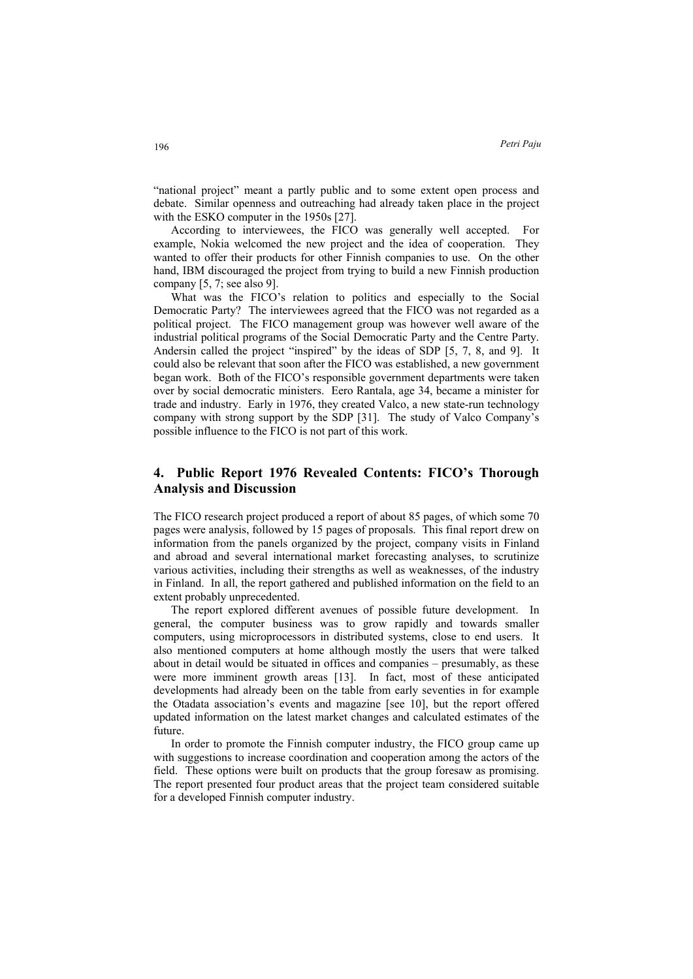"national project" meant a partly public and to some extent open process and debate. Similar openness and outreaching had already taken place in the project with the ESKO computer in the 1950s [27].

According to interviewees, the FICO was generally well accepted. For example, Nokia welcomed the new project and the idea of cooperation. They wanted to offer their products for other Finnish companies to use. On the other hand, IBM discouraged the project from trying to build a new Finnish production company [5, 7; see also 9].

What was the FICO's relation to politics and especially to the Social Democratic Party? The interviewees agreed that the FICO was not regarded as a political project. The FICO management group was however well aware of the industrial political programs of the Social Democratic Party and the Centre Party. Andersin called the project "inspired" by the ideas of SDP [5, 7, 8, and 9]. It could also be relevant that soon after the FICO was established, a new government began work. Both of the FICO's responsible government departments were taken over by social democratic ministers. Eero Rantala, age 34, became a minister for trade and industry. Early in 1976, they created Valco, a new state-run technology company with strong support by the SDP [31]. The study of Valco Company's possible influence to the FICO is not part of this work.

# **4. Public Report 1976 Revealed Contents: FICO's Thorough Analysis and Discussion**

The FICO research project produced a report of about 85 pages, of which some 70 pages were analysis, followed by 15 pages of proposals. This final report drew on information from the panels organized by the project, company visits in Finland and abroad and several international market forecasting analyses, to scrutinize various activities, including their strengths as well as weaknesses, of the industry in Finland. In all, the report gathered and published information on the field to an extent probably unprecedented.

The report explored different avenues of possible future development. In general, the computer business was to grow rapidly and towards smaller computers, using microprocessors in distributed systems, close to end users. It also mentioned computers at home although mostly the users that were talked about in detail would be situated in offices and companies – presumably, as these were more imminent growth areas [13]. In fact, most of these anticipated developments had already been on the table from early seventies in for example the Otadata association's events and magazine [see 10], but the report offered updated information on the latest market changes and calculated estimates of the future.

In order to promote the Finnish computer industry, the FICO group came up with suggestions to increase coordination and cooperation among the actors of the field. These options were built on products that the group foresaw as promising. The report presented four product areas that the project team considered suitable for a developed Finnish computer industry.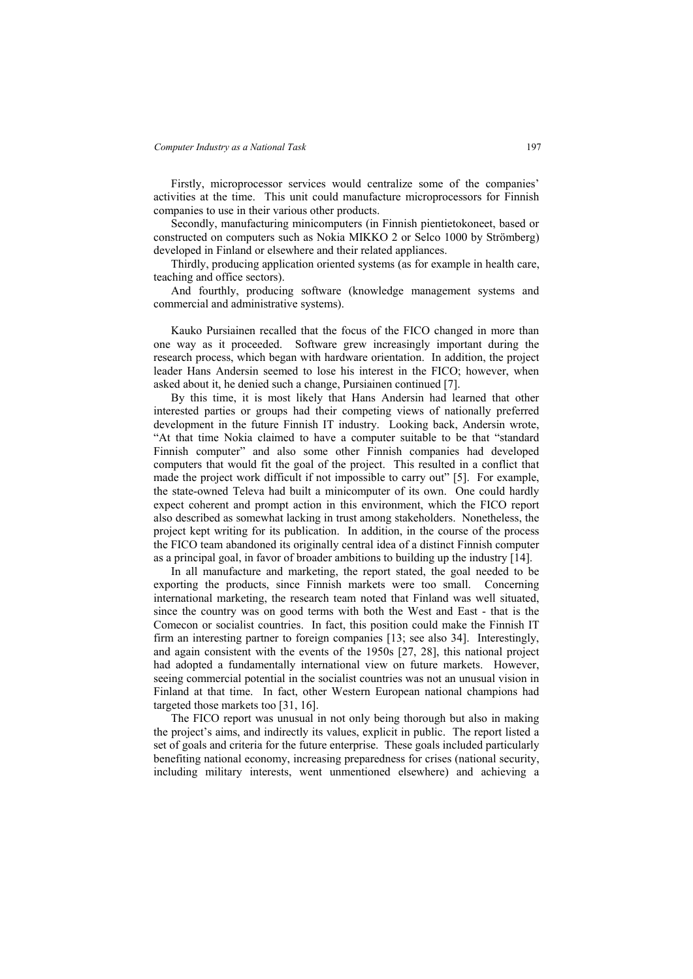Firstly, microprocessor services would centralize some of the companies' activities at the time. This unit could manufacture microprocessors for Finnish companies to use in their various other products.

Secondly, manufacturing minicomputers (in Finnish pientietokoneet, based or constructed on computers such as Nokia MIKKO 2 or Selco 1000 by Strömberg) developed in Finland or elsewhere and their related appliances.

Thirdly, producing application oriented systems (as for example in health care, teaching and office sectors).

And fourthly, producing software (knowledge management systems and commercial and administrative systems).

Kauko Pursiainen recalled that the focus of the FICO changed in more than one way as it proceeded. Software grew increasingly important during the research process, which began with hardware orientation. In addition, the project leader Hans Andersin seemed to lose his interest in the FICO; however, when asked about it, he denied such a change, Pursiainen continued [7].

By this time, it is most likely that Hans Andersin had learned that other interested parties or groups had their competing views of nationally preferred development in the future Finnish IT industry. Looking back, Andersin wrote, "At that time Nokia claimed to have a computer suitable to be that "standard Finnish computer" and also some other Finnish companies had developed computers that would fit the goal of the project. This resulted in a conflict that made the project work difficult if not impossible to carry out" [5]. For example, the state-owned Televa had built a minicomputer of its own. One could hardly expect coherent and prompt action in this environment, which the FICO report also described as somewhat lacking in trust among stakeholders. Nonetheless, the project kept writing for its publication. In addition, in the course of the process the FICO team abandoned its originally central idea of a distinct Finnish computer as a principal goal, in favor of broader ambitions to building up the industry [14].

In all manufacture and marketing, the report stated, the goal needed to be exporting the products, since Finnish markets were too small. Concerning international marketing, the research team noted that Finland was well situated, since the country was on good terms with both the West and East - that is the Comecon or socialist countries. In fact, this position could make the Finnish IT firm an interesting partner to foreign companies [13; see also 34]. Interestingly, and again consistent with the events of the 1950s [27, 28], this national project had adopted a fundamentally international view on future markets. However, seeing commercial potential in the socialist countries was not an unusual vision in Finland at that time. In fact, other Western European national champions had targeted those markets too [31, 16].

The FICO report was unusual in not only being thorough but also in making the project's aims, and indirectly its values, explicit in public. The report listed a set of goals and criteria for the future enterprise. These goals included particularly benefiting national economy, increasing preparedness for crises (national security, including military interests, went unmentioned elsewhere) and achieving a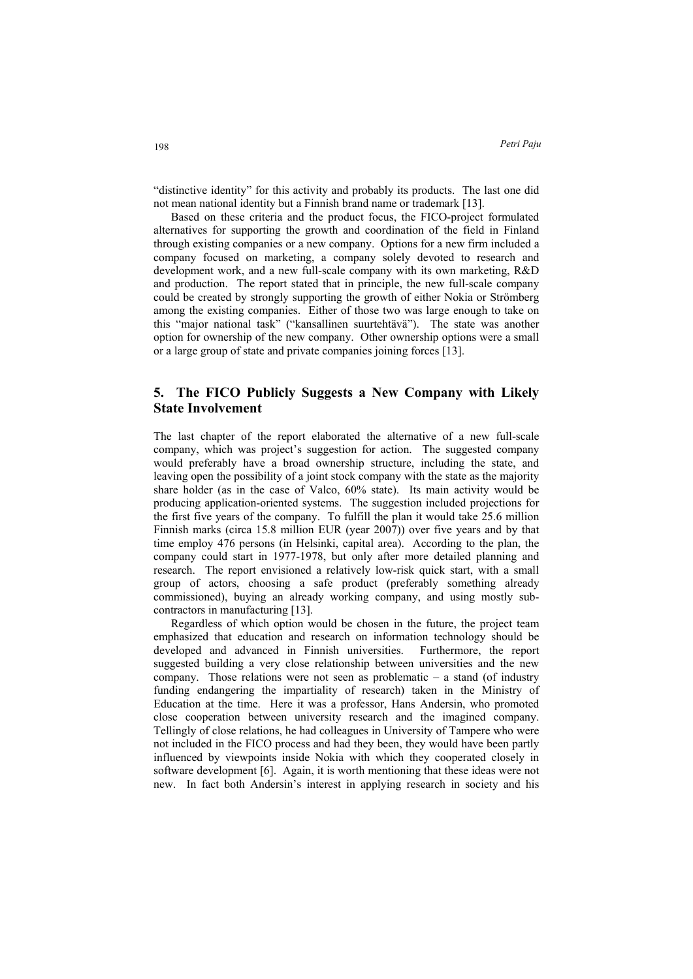"distinctive identity" for this activity and probably its products. The last one did not mean national identity but a Finnish brand name or trademark [13].

Based on these criteria and the product focus, the FICO-project formulated alternatives for supporting the growth and coordination of the field in Finland through existing companies or a new company. Options for a new firm included a company focused on marketing, a company solely devoted to research and development work, and a new full-scale company with its own marketing, R&D and production. The report stated that in principle, the new full-scale company could be created by strongly supporting the growth of either Nokia or Strömberg among the existing companies. Either of those two was large enough to take on this "major national task" ("kansallinen suurtehtävä"). The state was another option for ownership of the new company. Other ownership options were a small or a large group of state and private companies joining forces [13].

# **5. The FICO Publicly Suggests a New Company with Likely State Involvement**

The last chapter of the report elaborated the alternative of a new full-scale company, which was project's suggestion for action. The suggested company would preferably have a broad ownership structure, including the state, and leaving open the possibility of a joint stock company with the state as the majority share holder (as in the case of Valco, 60% state). Its main activity would be producing application-oriented systems. The suggestion included projections for the first five years of the company. To fulfill the plan it would take 25.6 million Finnish marks (circa 15.8 million EUR (year 2007)) over five years and by that time employ 476 persons (in Helsinki, capital area). According to the plan, the company could start in 1977-1978, but only after more detailed planning and research. The report envisioned a relatively low-risk quick start, with a small group of actors, choosing a safe product (preferably something already commissioned), buying an already working company, and using mostly subcontractors in manufacturing [13].

Regardless of which option would be chosen in the future, the project team emphasized that education and research on information technology should be developed and advanced in Finnish universities. Furthermore, the report suggested building a very close relationship between universities and the new company. Those relations were not seen as problematic – a stand (of industry funding endangering the impartiality of research) taken in the Ministry of Education at the time. Here it was a professor, Hans Andersin, who promoted close cooperation between university research and the imagined company. Tellingly of close relations, he had colleagues in University of Tampere who were not included in the FICO process and had they been, they would have been partly influenced by viewpoints inside Nokia with which they cooperated closely in software development [6]. Again, it is worth mentioning that these ideas were not new. In fact both Andersin's interest in applying research in society and his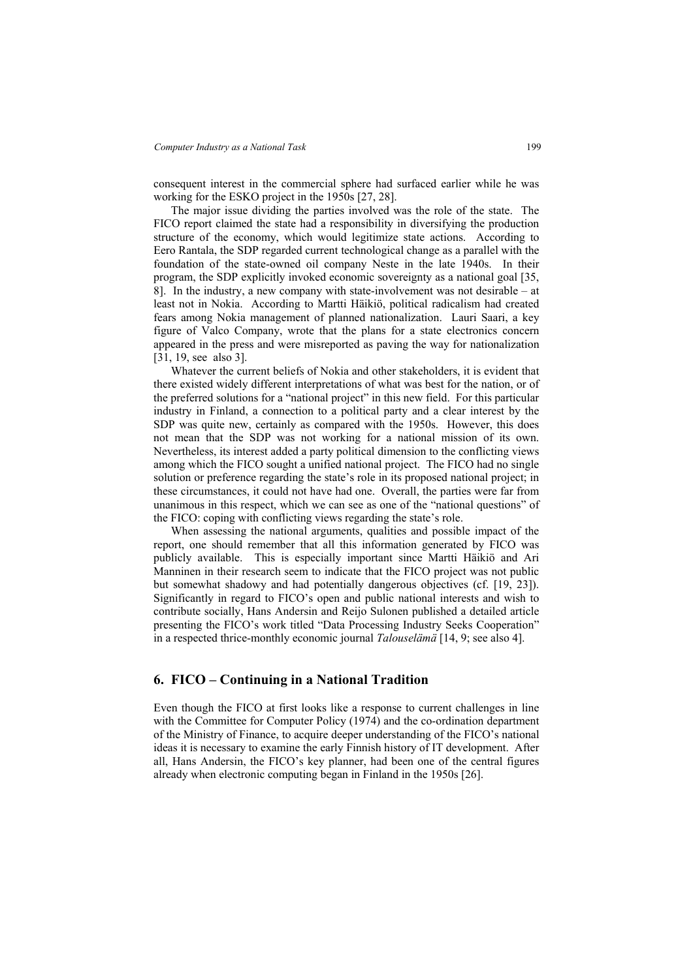consequent interest in the commercial sphere had surfaced earlier while he was working for the ESKO project in the 1950s [27, 28].

The major issue dividing the parties involved was the role of the state. The FICO report claimed the state had a responsibility in diversifying the production structure of the economy, which would legitimize state actions. According to Eero Rantala, the SDP regarded current technological change as a parallel with the foundation of the state-owned oil company Neste in the late 1940s. In their program, the SDP explicitly invoked economic sovereignty as a national goal [35, 8]. In the industry, a new company with state-involvement was not desirable – at least not in Nokia. According to Martti Häikiö, political radicalism had created fears among Nokia management of planned nationalization. Lauri Saari, a key figure of Valco Company, wrote that the plans for a state electronics concern appeared in the press and were misreported as paving the way for nationalization [31, 19, see also 3].

Whatever the current beliefs of Nokia and other stakeholders, it is evident that there existed widely different interpretations of what was best for the nation, or of the preferred solutions for a "national project" in this new field. For this particular industry in Finland, a connection to a political party and a clear interest by the SDP was quite new, certainly as compared with the 1950s. However, this does not mean that the SDP was not working for a national mission of its own. Nevertheless, its interest added a party political dimension to the conflicting views among which the FICO sought a unified national project. The FICO had no single solution or preference regarding the state's role in its proposed national project; in these circumstances, it could not have had one. Overall, the parties were far from unanimous in this respect, which we can see as one of the "national questions" of the FICO: coping with conflicting views regarding the state's role.

When assessing the national arguments, qualities and possible impact of the report, one should remember that all this information generated by FICO was publicly available. This is especially important since Martti Häikiö and Ari Manninen in their research seem to indicate that the FICO project was not public but somewhat shadowy and had potentially dangerous objectives (cf. [19, 23]). Significantly in regard to FICO's open and public national interests and wish to contribute socially, Hans Andersin and Reijo Sulonen published a detailed article presenting the FICO's work titled "Data Processing Industry Seeks Cooperation" in a respected thrice-monthly economic journal *Talouselämä* [14, 9; see also 4].

## **6. FICO – Continuing in a National Tradition**

Even though the FICO at first looks like a response to current challenges in line with the Committee for Computer Policy (1974) and the co-ordination department of the Ministry of Finance, to acquire deeper understanding of the FICO's national ideas it is necessary to examine the early Finnish history of IT development. After all, Hans Andersin, the FICO's key planner, had been one of the central figures already when electronic computing began in Finland in the 1950s [26].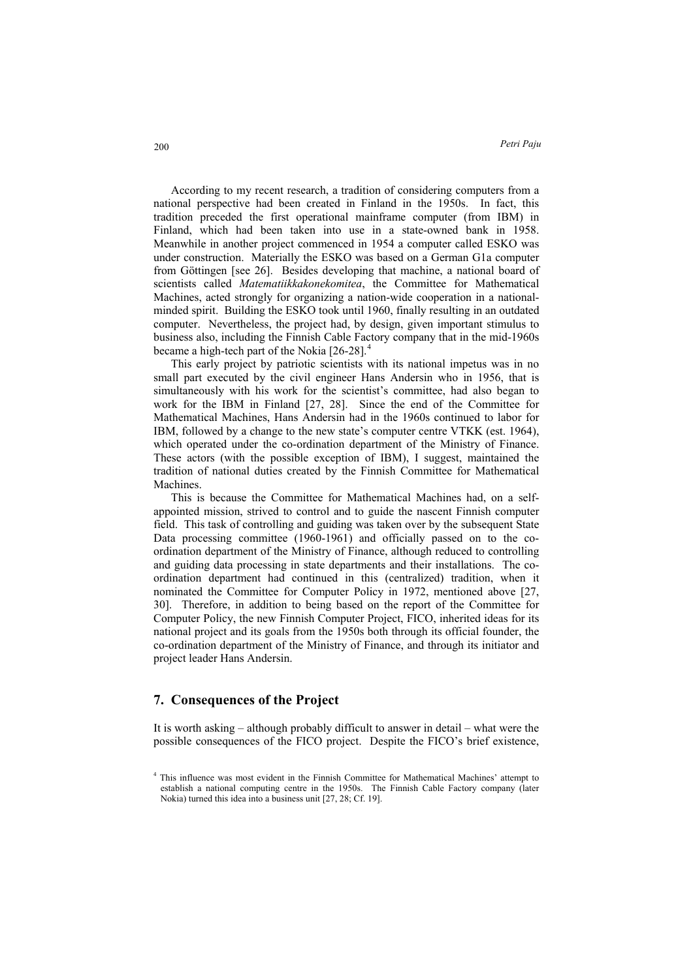According to my recent research, a tradition of considering computers from a national perspective had been created in Finland in the 1950s. In fact, this tradition preceded the first operational mainframe computer (from IBM) in Finland, which had been taken into use in a state-owned bank in 1958. Meanwhile in another project commenced in 1954 a computer called ESKO was under construction. Materially the ESKO was based on a German G1a computer from Göttingen [see 26]. Besides developing that machine, a national board of scientists called *Matematiikkakonekomitea*, the Committee for Mathematical Machines, acted strongly for organizing a nation-wide cooperation in a nationalminded spirit. Building the ESKO took until 1960, finally resulting in an outdated computer. Nevertheless, the project had, by design, given important stimulus to business also, including the Finnish Cable Factory company that in the mid-1960s became a high-tech part of the Nokia  $[26-28]$ .

This early project by patriotic scientists with its national impetus was in no small part executed by the civil engineer Hans Andersin who in 1956, that is simultaneously with his work for the scientist's committee, had also began to work for the IBM in Finland [27, 28]. Since the end of the Committee for Mathematical Machines, Hans Andersin had in the 1960s continued to labor for IBM, followed by a change to the new state's computer centre VTKK (est. 1964), which operated under the co-ordination department of the Ministry of Finance. These actors (with the possible exception of IBM), I suggest, maintained the tradition of national duties created by the Finnish Committee for Mathematical Machines.

This is because the Committee for Mathematical Machines had, on a selfappointed mission, strived to control and to guide the nascent Finnish computer field. This task of controlling and guiding was taken over by the subsequent State Data processing committee (1960-1961) and officially passed on to the coordination department of the Ministry of Finance, although reduced to controlling and guiding data processing in state departments and their installations. The coordination department had continued in this (centralized) tradition, when it nominated the Committee for Computer Policy in 1972, mentioned above [27, 30]. Therefore, in addition to being based on the report of the Committee for Computer Policy, the new Finnish Computer Project, FICO, inherited ideas for its national project and its goals from the 1950s both through its official founder, the co-ordination department of the Ministry of Finance, and through its initiator and project leader Hans Andersin.

## **7. Consequences of the Project**

It is worth asking – although probably difficult to answer in detail – what were the possible consequences of the FICO project. Despite the FICO's brief existence,

<sup>&</sup>lt;sup>4</sup> This influence was most evident in the Finnish Committee for Mathematical Machines' attempt to establish a national computing centre in the 1950s. The Finnish Cable Factory company (later Nokia) turned this idea into a business unit [27, 28; Cf. 19].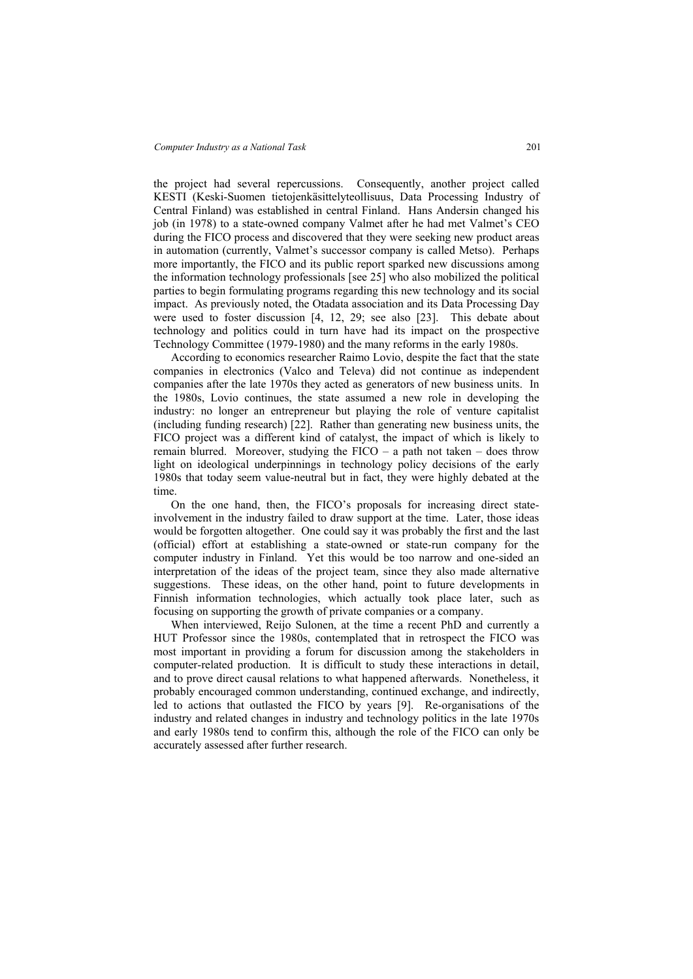the project had several repercussions. Consequently, another project called KESTI (Keski-Suomen tietojenkäsittelyteollisuus, Data Processing Industry of Central Finland) was established in central Finland. Hans Andersin changed his job (in 1978) to a state-owned company Valmet after he had met Valmet's CEO during the FICO process and discovered that they were seeking new product areas in automation (currently, Valmet's successor company is called Metso). Perhaps more importantly, the FICO and its public report sparked new discussions among the information technology professionals [see 25] who also mobilized the political parties to begin formulating programs regarding this new technology and its social impact. As previously noted, the Otadata association and its Data Processing Day were used to foster discussion [4, 12, 29; see also [23]. This debate about technology and politics could in turn have had its impact on the prospective Technology Committee (1979-1980) and the many reforms in the early 1980s.

According to economics researcher Raimo Lovio, despite the fact that the state companies in electronics (Valco and Televa) did not continue as independent companies after the late 1970s they acted as generators of new business units. In the 1980s, Lovio continues, the state assumed a new role in developing the industry: no longer an entrepreneur but playing the role of venture capitalist (including funding research) [22]. Rather than generating new business units, the FICO project was a different kind of catalyst, the impact of which is likely to remain blurred. Moreover, studying the FICO – a path not taken – does throw light on ideological underpinnings in technology policy decisions of the early 1980s that today seem value-neutral but in fact, they were highly debated at the time.

On the one hand, then, the FICO's proposals for increasing direct stateinvolvement in the industry failed to draw support at the time. Later, those ideas would be forgotten altogether. One could say it was probably the first and the last (official) effort at establishing a state-owned or state-run company for the computer industry in Finland. Yet this would be too narrow and one-sided an interpretation of the ideas of the project team, since they also made alternative suggestions. These ideas, on the other hand, point to future developments in Finnish information technologies, which actually took place later, such as focusing on supporting the growth of private companies or a company.

When interviewed, Reijo Sulonen, at the time a recent PhD and currently a HUT Professor since the 1980s, contemplated that in retrospect the FICO was most important in providing a forum for discussion among the stakeholders in computer-related production. It is difficult to study these interactions in detail, and to prove direct causal relations to what happened afterwards. Nonetheless, it probably encouraged common understanding, continued exchange, and indirectly, led to actions that outlasted the FICO by years [9]. Re-organisations of the industry and related changes in industry and technology politics in the late 1970s and early 1980s tend to confirm this, although the role of the FICO can only be accurately assessed after further research.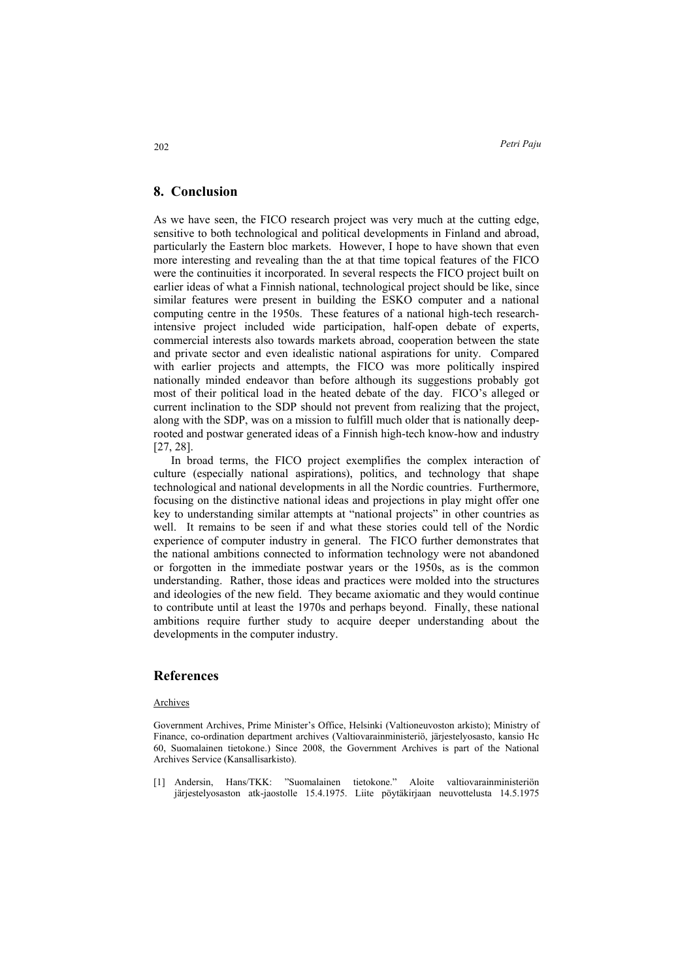202 *Petri Paju* 

### **8. Conclusion**

As we have seen, the FICO research project was very much at the cutting edge, sensitive to both technological and political developments in Finland and abroad, particularly the Eastern bloc markets. However, I hope to have shown that even more interesting and revealing than the at that time topical features of the FICO were the continuities it incorporated. In several respects the FICO project built on earlier ideas of what a Finnish national, technological project should be like, since similar features were present in building the ESKO computer and a national computing centre in the 1950s. These features of a national high-tech researchintensive project included wide participation, half-open debate of experts, commercial interests also towards markets abroad, cooperation between the state and private sector and even idealistic national aspirations for unity. Compared with earlier projects and attempts, the FICO was more politically inspired nationally minded endeavor than before although its suggestions probably got most of their political load in the heated debate of the day. FICO's alleged or current inclination to the SDP should not prevent from realizing that the project, along with the SDP, was on a mission to fulfill much older that is nationally deeprooted and postwar generated ideas of a Finnish high-tech know-how and industry [27, 28].

In broad terms, the FICO project exemplifies the complex interaction of culture (especially national aspirations), politics, and technology that shape technological and national developments in all the Nordic countries. Furthermore, focusing on the distinctive national ideas and projections in play might offer one key to understanding similar attempts at "national projects" in other countries as well. It remains to be seen if and what these stories could tell of the Nordic experience of computer industry in general. The FICO further demonstrates that the national ambitions connected to information technology were not abandoned or forgotten in the immediate postwar years or the 1950s, as is the common understanding. Rather, those ideas and practices were molded into the structures and ideologies of the new field. They became axiomatic and they would continue to contribute until at least the 1970s and perhaps beyond. Finally, these national ambitions require further study to acquire deeper understanding about the developments in the computer industry.

### **References**

#### Archives

Government Archives, Prime Minister's Office, Helsinki (Valtioneuvoston arkisto); Ministry of Finance, co-ordination department archives (Valtiovarainministeriö, järjestelyosasto, kansio Hc 60, Suomalainen tietokone.) Since 2008, the Government Archives is part of the National Archives Service (Kansallisarkisto).

[1] Andersin, Hans/TKK: "Suomalainen tietokone." Aloite valtiovarainministeriön järjestelyosaston atk-jaostolle 15.4.1975. Liite pöytäkirjaan neuvottelusta 14.5.1975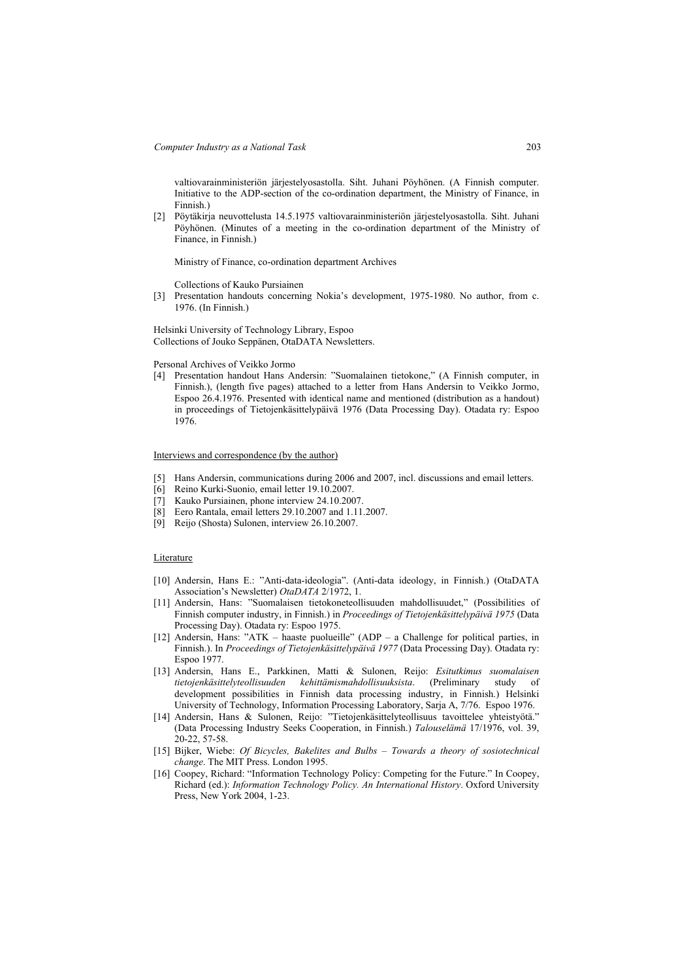#### *Computer Industry as a National Task* 203

valtiovarainministeriön järjestelyosastolla. Siht. Juhani Pöyhönen. (A Finnish computer. Initiative to the ADP-section of the co-ordination department, the Ministry of Finance, in Finnish.)

[2] Pöytäkirja neuvottelusta 14.5.1975 valtiovarainministeriön järjestelyosastolla. Siht. Juhani Pöyhönen. (Minutes of a meeting in the co-ordination department of the Ministry of Finance, in Finnish.)

Ministry of Finance, co-ordination department Archives

Collections of Kauko Pursiainen

[3] Presentation handouts concerning Nokia's development, 1975-1980. No author, from c. 1976. (In Finnish.)

Helsinki University of Technology Library, Espoo Collections of Jouko Seppänen, OtaDATA Newsletters.

Personal Archives of Veikko Jormo

[4] Presentation handout Hans Andersin: "Suomalainen tietokone," (A Finnish computer, in Finnish.), (length five pages) attached to a letter from Hans Andersin to Veikko Jormo, Espoo 26.4.1976. Presented with identical name and mentioned (distribution as a handout) in proceedings of Tietojenkäsittelypäivä 1976 (Data Processing Day). Otadata ry: Espoo 1976.

#### Interviews and correspondence (by the author)

- [5] Hans Andersin, communications during 2006 and 2007, incl. discussions and email letters.
- [6] Reino Kurki-Suonio, email letter 19.10.2007.
- [7] Kauko Pursiainen, phone interview 24.10.2007.
- [8] Eero Rantala, email letters 29.10.2007 and 1.11.2007.
- [9] Reijo (Shosta) Sulonen, interview 26.10.2007.

#### **Literature**

- [10] Andersin, Hans E.: "Anti-data-ideologia". (Anti-data ideology, in Finnish.) (OtaDATA Association's Newsletter) *OtaDATA* 2/1972, 1.
- [11] Andersin, Hans: "Suomalaisen tietokoneteollisuuden mahdollisuudet," (Possibilities of Finnish computer industry, in Finnish.) in *Proceedings of Tietojenkäsittelypäivä 1975* (Data Processing Day). Otadata ry: Espoo 1975.
- [12] Andersin, Hans: "ATK haaste puolueille" (ADP a Challenge for political parties, in Finnish.). In *Proceedings of Tietojenkäsittelypäivä 1977* (Data Processing Day). Otadata ry: Espoo 1977.
- [13] Andersin, Hans E., Parkkinen, Matti & Sulonen, Reijo: *Esitutkimus suomalaisen tietojenkäsittelyteollisuuden kehittämismahdollisuuksista*. (Preliminary study of development possibilities in Finnish data processing industry, in Finnish.) Helsinki University of Technology, Information Processing Laboratory, Sarja A, 7/76. Espoo 1976.
- [14] Andersin, Hans & Sulonen, Reijo: "Tietojenkäsittelyteollisuus tavoittelee yhteistyötä." (Data Processing Industry Seeks Cooperation, in Finnish.) *Talouselämä* 17/1976, vol. 39, 20-22, 57-58.
- [15] Bijker, Wiebe: *Of Bicycles, Bakelites and Bulbs Towards a theory of sosiotechnical change*. The MIT Press. London 1995.
- [16] Coopey, Richard: "Information Technology Policy: Competing for the Future." In Coopey, Richard (ed.): *Information Technology Policy. An International History*. Oxford University Press, New York 2004, 1-23.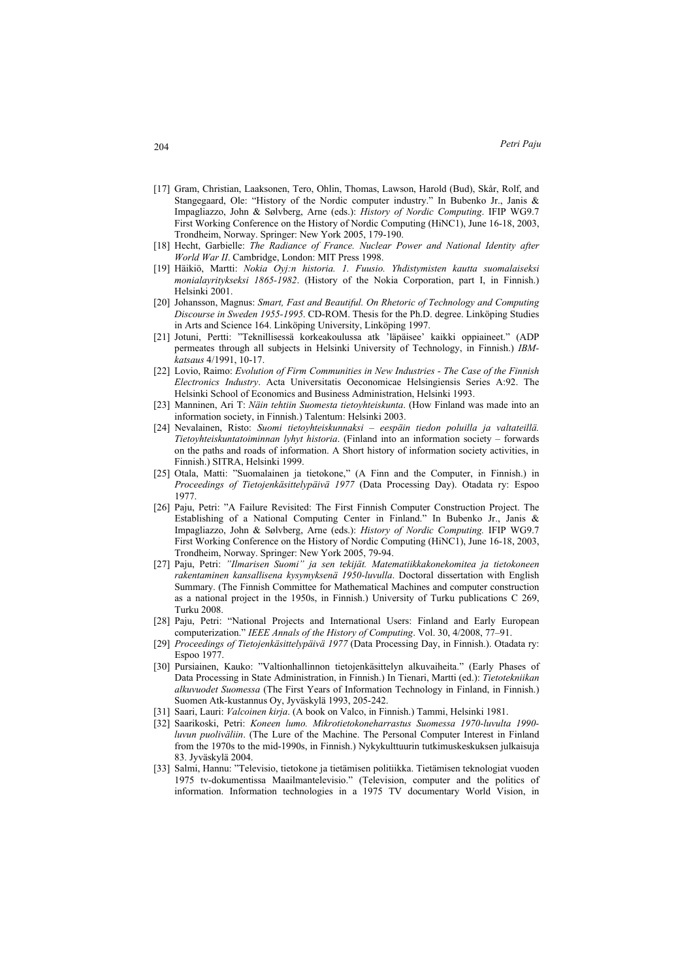- [17] Gram, Christian, Laaksonen, Tero, Ohlin, Thomas, Lawson, Harold (Bud), Skår, Rolf, and Stangegaard, Ole: "History of the Nordic computer industry." In Bubenko Jr., Janis & Impagliazzo, John & Sølvberg, Arne (eds.): *History of Nordic Computing*. IFIP WG9.7 First Working Conference on the History of Nordic Computing (HiNC1), June 16-18, 2003, Trondheim, Norway. Springer: New York 2005, 179-190.
- [18] Hecht, Garbielle: *The Radiance of France. Nuclear Power and National Identity after World War II*. Cambridge, London: MIT Press 1998.
- [19] Häikiö, Martti: *Nokia Oyj:n historia. 1. Fuusio. Yhdistymisten kautta suomalaiseksi monialayritykseksi 1865-1982*. (History of the Nokia Corporation, part I, in Finnish.) Helsinki 2001.
- [20] Johansson, Magnus: *Smart, Fast and Beautiful. On Rhetoric of Technology and Computing Discourse in Sweden 1955-1995*. CD-ROM. Thesis for the Ph.D. degree. Linköping Studies in Arts and Science 164. Linköping University, Linköping 1997.
- [21] Jotuni, Pertti: "Teknillisessä korkeakoulussa atk 'läpäisee' kaikki oppiaineet." (ADP permeates through all subjects in Helsinki University of Technology, in Finnish.) *IBMkatsaus* 4/1991, 10-17.
- [22] Lovio, Raimo: *Evolution of Firm Communities in New Industries The Case of the Finnish Electronics Industry*. Acta Universitatis Oeconomicae Helsingiensis Series A:92. The Helsinki School of Economics and Business Administration, Helsinki 1993.
- [23] Manninen, Ari T: *Näin tehtiin Suomesta tietoyhteiskunta*. (How Finland was made into an information society, in Finnish.) Talentum: Helsinki 2003.
- [24] Nevalainen, Risto: *Suomi tietoyhteiskunnaksi eespäin tiedon poluilla ja valtateillä. Tietoyhteiskuntatoiminnan lyhyt historia*. (Finland into an information society – forwards on the paths and roads of information. A Short history of information society activities, in Finnish.) SITRA, Helsinki 1999.
- [25] Otala, Matti: "Suomalainen ja tietokone," (A Finn and the Computer, in Finnish.) in *Proceedings of Tietojenkäsittelypäivä 1977* (Data Processing Day). Otadata ry: Espoo 1977.
- [26] Paju, Petri: "A Failure Revisited: The First Finnish Computer Construction Project. The Establishing of a National Computing Center in Finland." In Bubenko Jr., Janis & Impagliazzo, John & Sølvberg, Arne (eds.): *History of Nordic Computing.* IFIP WG9.7 First Working Conference on the History of Nordic Computing (HiNC1), June 16-18, 2003, Trondheim, Norway. Springer: New York 2005, 79-94.
- [27] Paju, Petri: *"Ilmarisen Suomi" ja sen tekijät. Matematiikkakonekomitea ja tietokoneen rakentaminen kansallisena kysymyksenä 1950-luvulla*. Doctoral dissertation with English Summary. (The Finnish Committee for Mathematical Machines and computer construction as a national project in the 1950s, in Finnish.) University of Turku publications C 269, Turku 2008.
- [28] Paju, Petri: "National Projects and International Users: Finland and Early European computerization." *IEEE Annals of the History of Computing*. Vol. 30, 4/2008, 77–91.
- [29] *Proceedings of Tietojenkäsittelypäivä 1977* (Data Processing Day, in Finnish.). Otadata ry: Espoo 1977.
- [30] Pursiainen, Kauko: "Valtionhallinnon tietojenkäsittelyn alkuvaiheita." (Early Phases of Data Processing in State Administration, in Finnish.) In Tienari, Martti (ed.): *Tietotekniikan alkuvuodet Suomessa* (The First Years of Information Technology in Finland, in Finnish.) Suomen Atk-kustannus Oy, Jyväskylä 1993, 205-242.
- [31] Saari, Lauri: *Valcoinen kirja*. (A book on Valco, in Finnish.) Tammi, Helsinki 1981.
- [32] Saarikoski, Petri: *Koneen lumo. Mikrotietokoneharrastus Suomessa 1970-luvulta 1990 luvun puoliväliin*. (The Lure of the Machine. The Personal Computer Interest in Finland from the 1970s to the mid-1990s, in Finnish.) Nykykulttuurin tutkimuskeskuksen julkaisuja 83. Jyväskylä 2004.
- [33] Salmi, Hannu: "Televisio, tietokone ja tietämisen politiikka. Tietämisen teknologiat vuoden 1975 tv-dokumentissa Maailmantelevisio." (Television, computer and the politics of information. Information technologies in a 1975 TV documentary World Vision, in